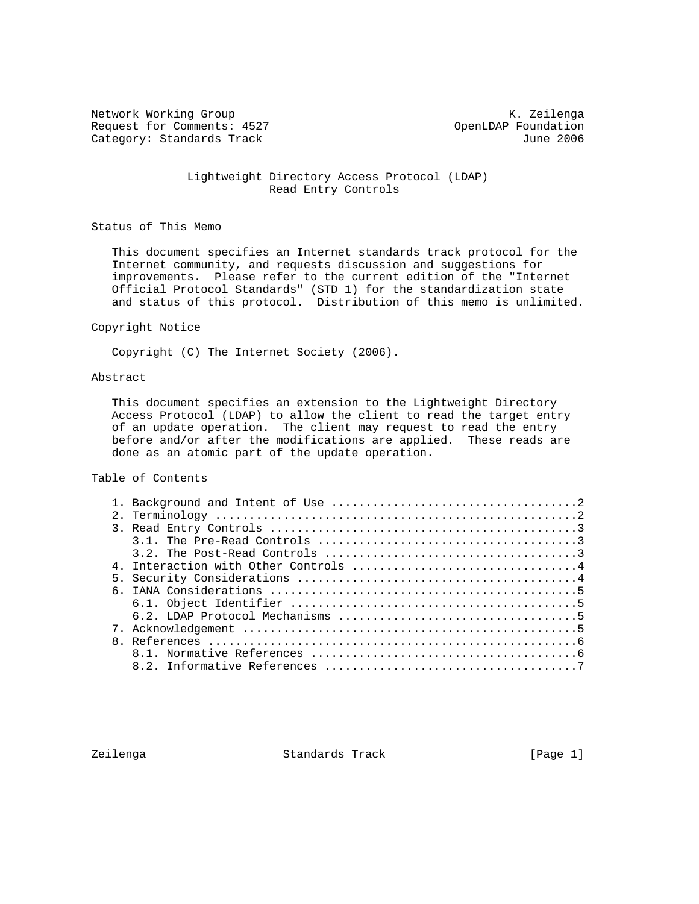Network Working Group and Months and Months and Months and Months and Months and Months and Months and Months and Months and Months and Months and Months and Months and Months and Months and Months and Months and Months an Request for Comments: 4527 OpenLDAP Foundation<br>Category: Standards Track due to the Mune 2006 Category: Standards Track

 Lightweight Directory Access Protocol (LDAP) Read Entry Controls

Status of This Memo

 This document specifies an Internet standards track protocol for the Internet community, and requests discussion and suggestions for improvements. Please refer to the current edition of the "Internet Official Protocol Standards" (STD 1) for the standardization state and status of this protocol. Distribution of this memo is unlimited.

#### Copyright Notice

Copyright (C) The Internet Society (2006).

### Abstract

 This document specifies an extension to the Lightweight Directory Access Protocol (LDAP) to allow the client to read the target entry of an update operation. The client may request to read the entry before and/or after the modifications are applied. These reads are done as an atomic part of the update operation.

Table of Contents

Zeilenga Standards Track [Page 1]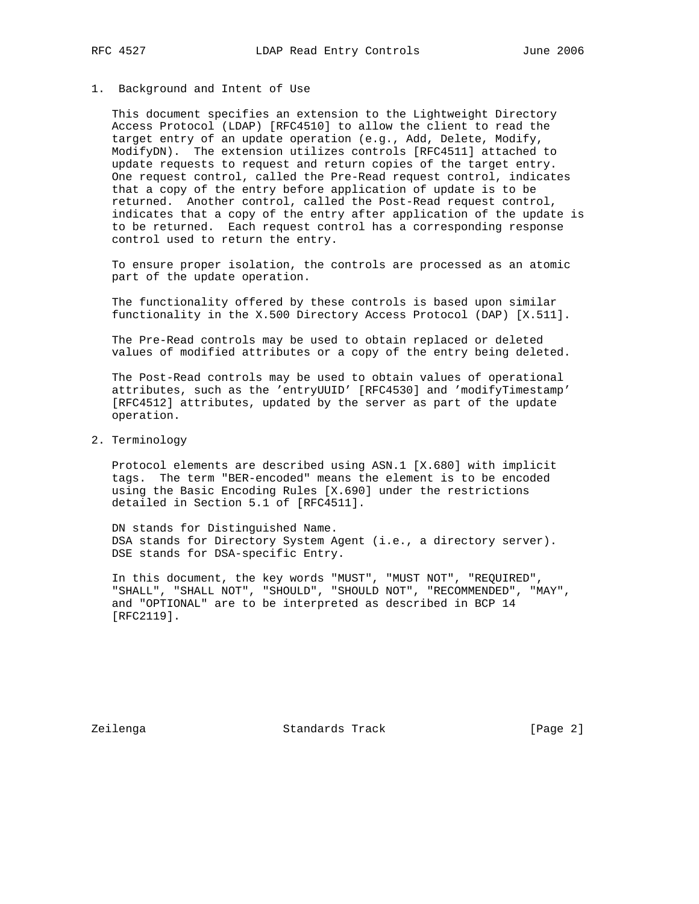## 1. Background and Intent of Use

 This document specifies an extension to the Lightweight Directory Access Protocol (LDAP) [RFC4510] to allow the client to read the target entry of an update operation (e.g., Add, Delete, Modify, ModifyDN). The extension utilizes controls [RFC4511] attached to update requests to request and return copies of the target entry. One request control, called the Pre-Read request control, indicates that a copy of the entry before application of update is to be returned. Another control, called the Post-Read request control, indicates that a copy of the entry after application of the update is to be returned. Each request control has a corresponding response control used to return the entry.

 To ensure proper isolation, the controls are processed as an atomic part of the update operation.

 The functionality offered by these controls is based upon similar functionality in the X.500 Directory Access Protocol (DAP) [X.511].

 The Pre-Read controls may be used to obtain replaced or deleted values of modified attributes or a copy of the entry being deleted.

 The Post-Read controls may be used to obtain values of operational attributes, such as the 'entryUUID' [RFC4530] and 'modifyTimestamp' [RFC4512] attributes, updated by the server as part of the update operation.

2. Terminology

 Protocol elements are described using ASN.1 [X.680] with implicit tags. The term "BER-encoded" means the element is to be encoded using the Basic Encoding Rules [X.690] under the restrictions detailed in Section 5.1 of [RFC4511].

 DN stands for Distinguished Name. DSA stands for Directory System Agent (i.e., a directory server). DSE stands for DSA-specific Entry.

 In this document, the key words "MUST", "MUST NOT", "REQUIRED", "SHALL", "SHALL NOT", "SHOULD", "SHOULD NOT", "RECOMMENDED", "MAY", and "OPTIONAL" are to be interpreted as described in BCP 14 [RFC2119].

Zeilenga Standards Track [Page 2]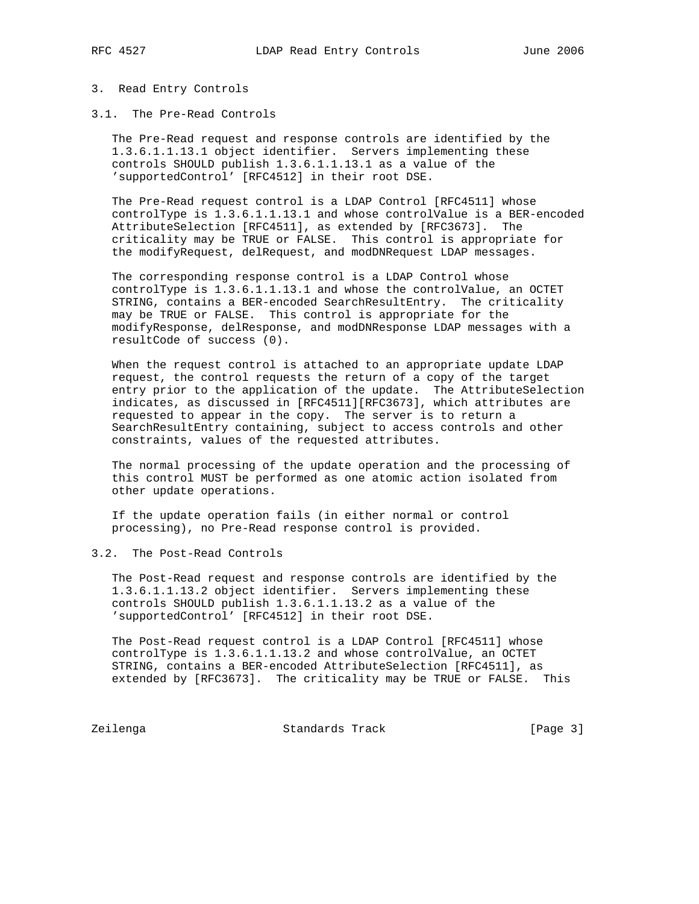#### 3. Read Entry Controls

3.1. The Pre-Read Controls

 The Pre-Read request and response controls are identified by the 1.3.6.1.1.13.1 object identifier. Servers implementing these controls SHOULD publish 1.3.6.1.1.13.1 as a value of the 'supportedControl' [RFC4512] in their root DSE.

 The Pre-Read request control is a LDAP Control [RFC4511] whose controlType is 1.3.6.1.1.13.1 and whose controlValue is a BER-encoded AttributeSelection [RFC4511], as extended by [RFC3673]. The criticality may be TRUE or FALSE. This control is appropriate for the modifyRequest, delRequest, and modDNRequest LDAP messages.

 The corresponding response control is a LDAP Control whose controlType is 1.3.6.1.1.13.1 and whose the controlValue, an OCTET STRING, contains a BER-encoded SearchResultEntry. The criticality may be TRUE or FALSE. This control is appropriate for the modifyResponse, delResponse, and modDNResponse LDAP messages with a resultCode of success (0).

 When the request control is attached to an appropriate update LDAP request, the control requests the return of a copy of the target entry prior to the application of the update. The AttributeSelection indicates, as discussed in [RFC4511][RFC3673], which attributes are requested to appear in the copy. The server is to return a SearchResultEntry containing, subject to access controls and other constraints, values of the requested attributes.

 The normal processing of the update operation and the processing of this control MUST be performed as one atomic action isolated from other update operations.

 If the update operation fails (in either normal or control processing), no Pre-Read response control is provided.

# 3.2. The Post-Read Controls

 The Post-Read request and response controls are identified by the 1.3.6.1.1.13.2 object identifier. Servers implementing these controls SHOULD publish 1.3.6.1.1.13.2 as a value of the 'supportedControl' [RFC4512] in their root DSE.

 The Post-Read request control is a LDAP Control [RFC4511] whose controlType is 1.3.6.1.1.13.2 and whose controlValue, an OCTET STRING, contains a BER-encoded AttributeSelection [RFC4511], as extended by [RFC3673]. The criticality may be TRUE or FALSE. This

Zeilenga Standards Track [Page 3]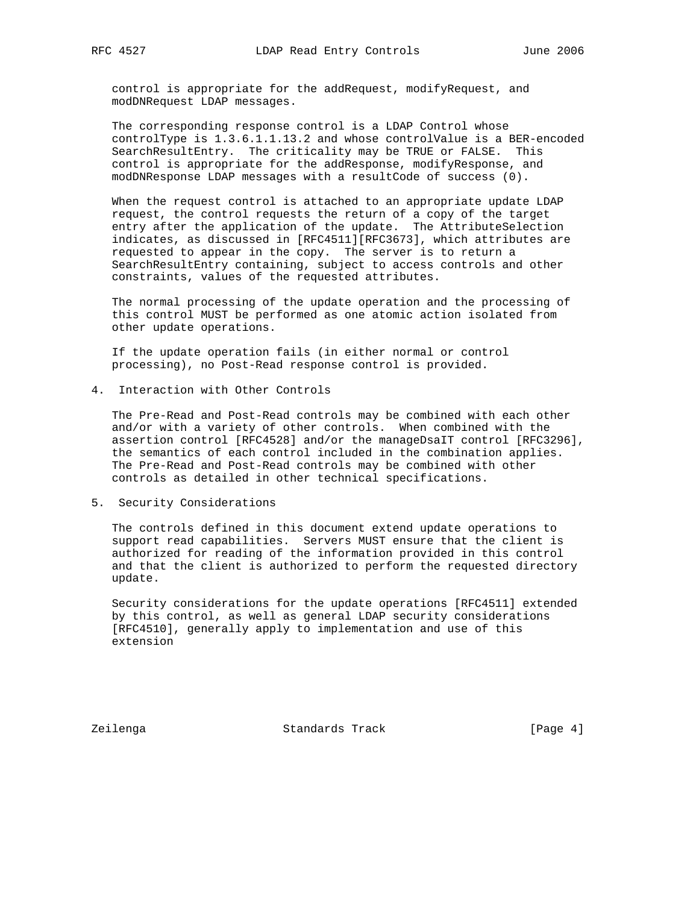control is appropriate for the addRequest, modifyRequest, and modDNRequest LDAP messages.

 The corresponding response control is a LDAP Control whose controlType is 1.3.6.1.1.13.2 and whose controlValue is a BER-encoded SearchResultEntry. The criticality may be TRUE or FALSE. This control is appropriate for the addResponse, modifyResponse, and modDNResponse LDAP messages with a resultCode of success (0).

 When the request control is attached to an appropriate update LDAP request, the control requests the return of a copy of the target entry after the application of the update. The AttributeSelection indicates, as discussed in [RFC4511][RFC3673], which attributes are requested to appear in the copy. The server is to return a SearchResultEntry containing, subject to access controls and other constraints, values of the requested attributes.

 The normal processing of the update operation and the processing of this control MUST be performed as one atomic action isolated from other update operations.

 If the update operation fails (in either normal or control processing), no Post-Read response control is provided.

4. Interaction with Other Controls

 The Pre-Read and Post-Read controls may be combined with each other and/or with a variety of other controls. When combined with the assertion control [RFC4528] and/or the manageDsaIT control [RFC3296], the semantics of each control included in the combination applies. The Pre-Read and Post-Read controls may be combined with other controls as detailed in other technical specifications.

#### 5. Security Considerations

 The controls defined in this document extend update operations to support read capabilities. Servers MUST ensure that the client is authorized for reading of the information provided in this control and that the client is authorized to perform the requested directory update.

 Security considerations for the update operations [RFC4511] extended by this control, as well as general LDAP security considerations [RFC4510], generally apply to implementation and use of this extension

Zeilenga **Standards Track** [Page 4]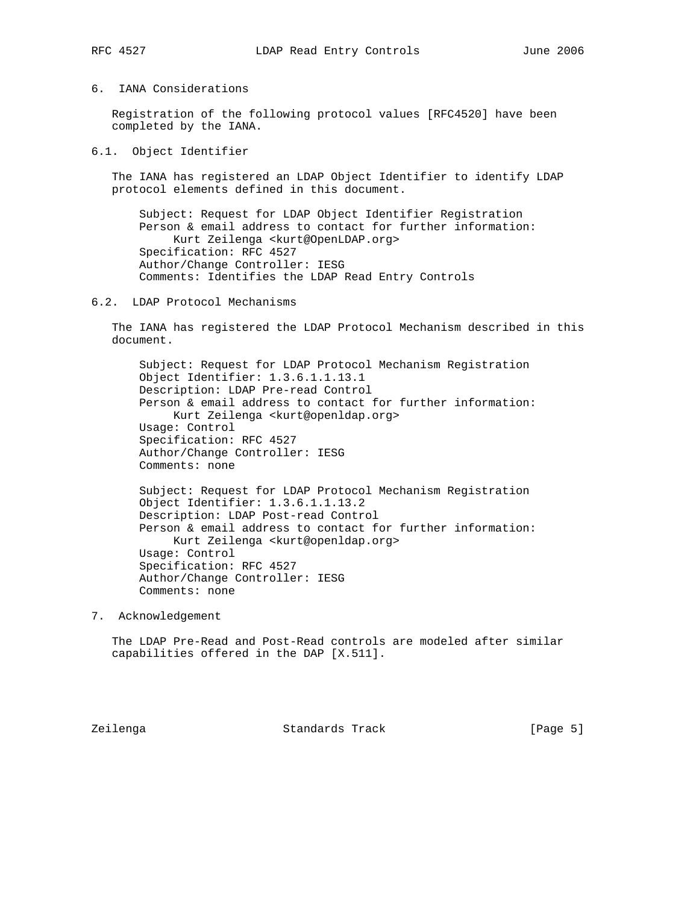## 6. IANA Considerations

 Registration of the following protocol values [RFC4520] have been completed by the IANA.

6.1. Object Identifier

 The IANA has registered an LDAP Object Identifier to identify LDAP protocol elements defined in this document.

 Subject: Request for LDAP Object Identifier Registration Person & email address to contact for further information: Kurt Zeilenga <kurt@OpenLDAP.org> Specification: RFC 4527 Author/Change Controller: IESG Comments: Identifies the LDAP Read Entry Controls

### 6.2. LDAP Protocol Mechanisms

 The IANA has registered the LDAP Protocol Mechanism described in this document.

 Subject: Request for LDAP Protocol Mechanism Registration Object Identifier: 1.3.6.1.1.13.1 Description: LDAP Pre-read Control Person & email address to contact for further information: Kurt Zeilenga <kurt@openldap.org> Usage: Control Specification: RFC 4527 Author/Change Controller: IESG Comments: none

 Subject: Request for LDAP Protocol Mechanism Registration Object Identifier: 1.3.6.1.1.13.2 Description: LDAP Post-read Control Person & email address to contact for further information: Kurt Zeilenga <kurt@openldap.org> Usage: Control Specification: RFC 4527 Author/Change Controller: IESG Comments: none

7. Acknowledgement

 The LDAP Pre-Read and Post-Read controls are modeled after similar capabilities offered in the DAP [X.511].

Zeilenga Standards Track [Page 5]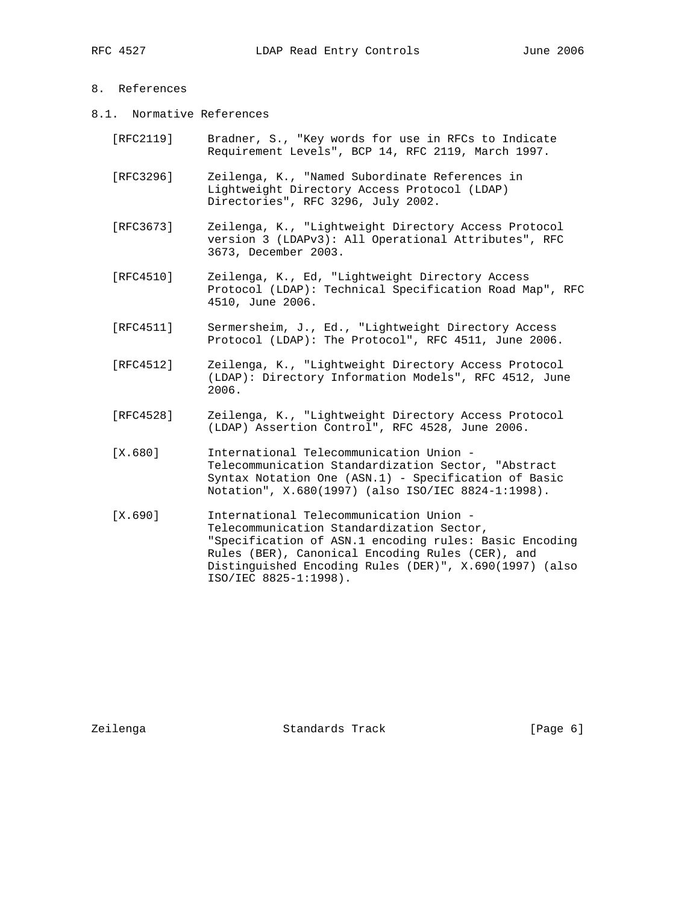## 8. References

- 8.1. Normative References
	- [RFC2119] Bradner, S., "Key words for use in RFCs to Indicate Requirement Levels", BCP 14, RFC 2119, March 1997.
	- [RFC3296] Zeilenga, K., "Named Subordinate References in Lightweight Directory Access Protocol (LDAP) Directories", RFC 3296, July 2002.
	- [RFC3673] Zeilenga, K., "Lightweight Directory Access Protocol version 3 (LDAPv3): All Operational Attributes", RFC 3673, December 2003.
	- [RFC4510] Zeilenga, K., Ed, "Lightweight Directory Access Protocol (LDAP): Technical Specification Road Map", RFC 4510, June 2006.
	- [RFC4511] Sermersheim, J., Ed., "Lightweight Directory Access Protocol (LDAP): The Protocol", RFC 4511, June 2006.
	- [RFC4512] Zeilenga, K., "Lightweight Directory Access Protocol (LDAP): Directory Information Models", RFC 4512, June 2006.
	- [RFC4528] Zeilenga, K., "Lightweight Directory Access Protocol (LDAP) Assertion Control", RFC 4528, June 2006.
	- [X.680] International Telecommunication Union Telecommunication Standardization Sector, "Abstract Syntax Notation One (ASN.1) - Specification of Basic Notation", X.680(1997) (also ISO/IEC 8824-1:1998).
	- [X.690] International Telecommunication Union Telecommunication Standardization Sector, "Specification of ASN.1 encoding rules: Basic Encoding Rules (BER), Canonical Encoding Rules (CER), and Distinguished Encoding Rules (DER)", X.690(1997) (also ISO/IEC 8825-1:1998).

Zeilenga Standards Track [Page 6]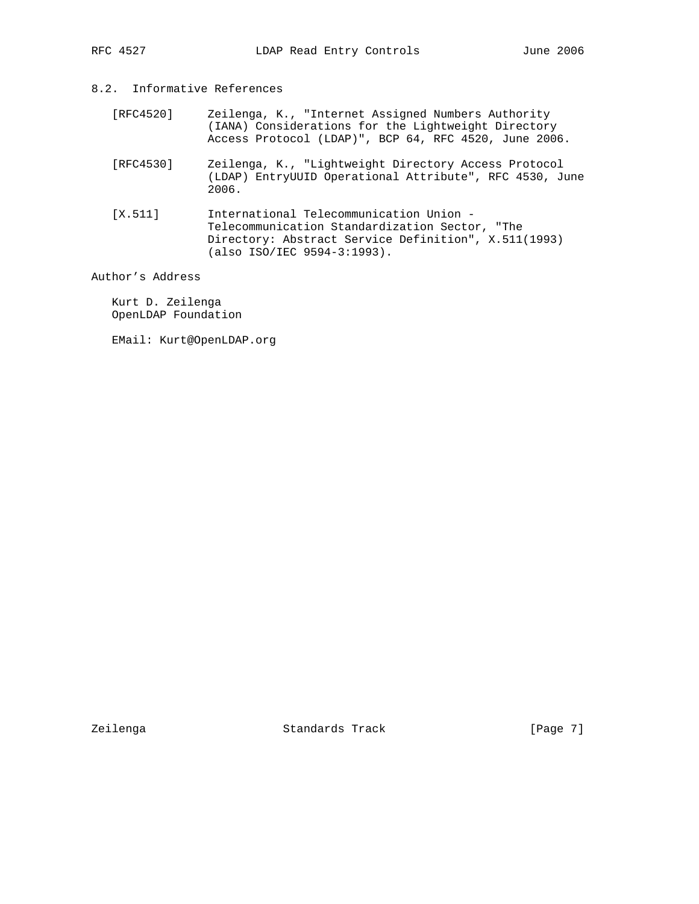# 8.2. Informative References

- [RFC4520] Zeilenga, K., "Internet Assigned Numbers Authority (IANA) Considerations for the Lightweight Directory Access Protocol (LDAP)", BCP 64, RFC 4520, June 2006.
- [RFC4530] Zeilenga, K., "Lightweight Directory Access Protocol (LDAP) EntryUUID Operational Attribute", RFC 4530, June 2006.
- [X.511] International Telecommunication Union Telecommunication Standardization Sector, "The Directory: Abstract Service Definition", X.511(1993) (also ISO/IEC 9594-3:1993).

Author's Address

 Kurt D. Zeilenga OpenLDAP Foundation

EMail: Kurt@OpenLDAP.org

Zeilenga Standards Track [Page 7]